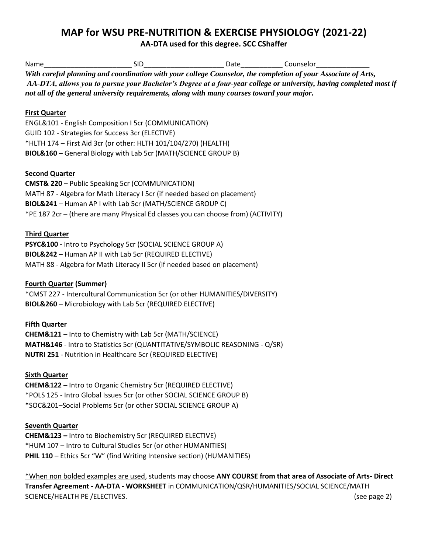# **MAP for WSU PRE-NUTRITION & EXERCISE PHYSIOLOGY (2021-22)**

**AA-DTA used for this degree. SCC CShaffer**

| Name                                                                                                                                                                                                                                                                                                                              | SID.                                                            | Date | Counselor |  |
|-----------------------------------------------------------------------------------------------------------------------------------------------------------------------------------------------------------------------------------------------------------------------------------------------------------------------------------|-----------------------------------------------------------------|------|-----------|--|
| With careful planning and coordination with your college Counselor, the completion of your Associate of Arts,<br>AA-DTA, allows you to pursue your Bachelor's Degree at a four-year college or university, having completed most if<br>not all of the general university requirements, along with many courses toward your major. |                                                                 |      |           |  |
| <b>First Quarter</b>                                                                                                                                                                                                                                                                                                              |                                                                 |      |           |  |
|                                                                                                                                                                                                                                                                                                                                   | ENGL&101 - English Composition I 5cr (COMMUNICATION)            |      |           |  |
|                                                                                                                                                                                                                                                                                                                                   | GUID 102 - Strategies for Success 3cr (ELECTIVE)                |      |           |  |
|                                                                                                                                                                                                                                                                                                                                   | *HLTH 174 - First Aid 3cr (or other: HLTH 101/104/270) (HEALTH) |      |           |  |
|                                                                                                                                                                                                                                                                                                                                   | BIOL&160 - General Biology with Lab 5cr (MATH/SCIENCE GROUP B)  |      |           |  |

## **Second Quarter**

**CMST& 220** – Public Speaking 5cr (COMMUNICATION) MATH 87 - Algebra for Math Literacy I 5cr (if needed based on placement) **BIOL&241** – Human AP I with Lab 5cr (MATH/SCIENCE GROUP C) \*PE 187 2cr – (there are many Physical Ed classes you can choose from) (ACTIVITY)

## **Third Quarter**

**PSYC&100 -** Intro to Psychology 5cr (SOCIAL SCIENCE GROUP A) **BIOL&242** – Human AP II with Lab 5cr (REQUIRED ELECTIVE) MATH 88 - Algebra for Math Literacy II 5cr (if needed based on placement)

## **Fourth Quarter (Summer)**

\*CMST 227 - Intercultural Communication 5cr (or other HUMANITIES/DIVERSITY) **BIOL&260** – Microbiology with Lab 5cr (REQUIRED ELECTIVE)

#### **Fifth Quarter**

**CHEM&121** – Into to Chemistry with Lab 5cr (MATH/SCIENCE) **MATH&146** - Intro to Statistics 5cr (QUANTITATIVE/SYMBOLIC REASONING - Q/SR) **NUTRI 251** - Nutrition in Healthcare 5cr (REQUIRED ELECTIVE)

#### **Sixth Quarter**

**CHEM&122 –** Intro to Organic Chemistry 5cr (REQUIRED ELECTIVE) \*POLS 125 - Intro Global Issues 5cr (or other SOCIAL SCIENCE GROUP B) \*SOC&201–Social Problems 5cr (or other SOCIAL SCIENCE GROUP A)

## **Seventh Quarter**

**CHEM&123 –** Intro to Biochemistry 5cr (REQUIRED ELECTIVE) \*HUM 107 – Intro to Cultural Studies 5cr (or other HUMANITIES) **PHIL 110** – Ethics 5cr "W" (find Writing Intensive section) (HUMANITIES)

\*When non bolded examples are used, students may choose **ANY COURSE from that area of Associate of Arts- Direct Transfer Agreement - AA-DTA - WORKSHEET** in COMMUNICATION/QSR/HUMANITIES/SOCIAL SCIENCE/MATH SCIENCE/HEALTH PE /ELECTIVES. (see page 2)